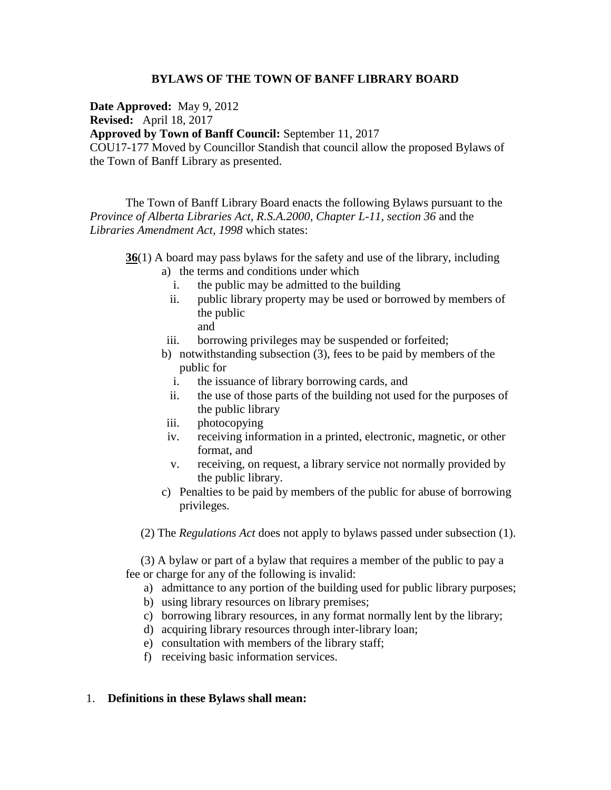## **BYLAWS OF THE TOWN OF BANFF LIBRARY BOARD**

**Date Approved:** May 9, 2012

**Revised:** April 18, 2017

**Approved by Town of Banff Council:** September 11, 2017

COU17-177 Moved by Councillor Standish that council allow the proposed Bylaws of the Town of Banff Library as presented.

The Town of Banff Library Board enacts the following Bylaws pursuant to the *Province of Alberta Libraries Act, R.S.A.2000, Chapter L-11, section 36 and the Libraries Amendment Act, 1998* which states:

**36**(1) A board may pass bylaws for the safety and use of the library, including

- a) the terms and conditions under which
	- i. the public may be admitted to the building
	- ii. public library property may be used or borrowed by members of the public
		- and
- iii. borrowing privileges may be suspended or forfeited;
- b) notwithstanding subsection (3), fees to be paid by members of the public for
	- i. the issuance of library borrowing cards, and
	- ii. the use of those parts of the building not used for the purposes of the public library
- iii. photocopying
- iv. receiving information in a printed, electronic, magnetic, or other format, and
- v. receiving, on request, a library service not normally provided by the public library.
- c) Penalties to be paid by members of the public for abuse of borrowing privileges.
- (2) The *Regulations Act* does not apply to bylaws passed under subsection (1).

 (3) A bylaw or part of a bylaw that requires a member of the public to pay a fee or charge for any of the following is invalid:

- a) admittance to any portion of the building used for public library purposes;
- b) using library resources on library premises;
- c) borrowing library resources, in any format normally lent by the library;
- d) acquiring library resources through inter-library loan;
- e) consultation with members of the library staff;
- f) receiving basic information services.

## 1. **Definitions in these Bylaws shall mean:**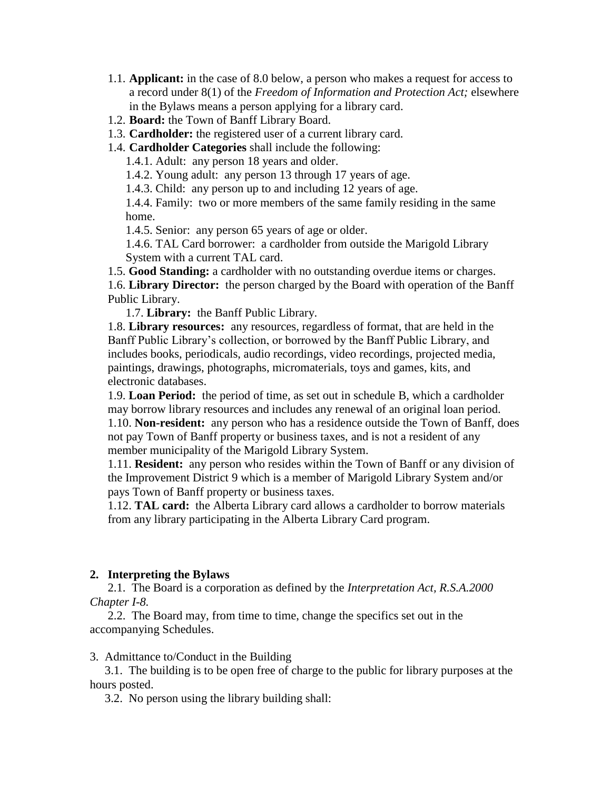- 1.1. **Applicant:** in the case of 8.0 below, a person who makes a request for access to a record under 8(1) of the *Freedom of Information and Protection Act;* elsewhere in the Bylaws means a person applying for a library card.
- 1.2. **Board:** the Town of Banff Library Board.
- 1.3. **Cardholder:** the registered user of a current library card.
- 1.4. **Cardholder Categories** shall include the following:

1.4.1. Adult: any person 18 years and older.

1.4.2. Young adult: any person 13 through 17 years of age.

1.4.3. Child: any person up to and including 12 years of age.

1.4.4. Family: two or more members of the same family residing in the same home.

1.4.5. Senior: any person 65 years of age or older.

1.4.6. TAL Card borrower: a cardholder from outside the Marigold Library System with a current TAL card.

1.5. **Good Standing:** a cardholder with no outstanding overdue items or charges. 1.6. **Library Director:** the person charged by the Board with operation of the Banff Public Library.

1.7. **Library:** the Banff Public Library.

1.8. **Library resources:** any resources, regardless of format, that are held in the Banff Public Library's collection, or borrowed by the Banff Public Library, and includes books, periodicals, audio recordings, video recordings, projected media, paintings, drawings, photographs, micromaterials, toys and games, kits, and electronic databases.

1.9. **Loan Period:** the period of time, as set out in schedule B, which a cardholder may borrow library resources and includes any renewal of an original loan period. 1.10. **Non-resident:** any person who has a residence outside the Town of Banff, does not pay Town of Banff property or business taxes, and is not a resident of any member municipality of the Marigold Library System.

1.11. **Resident:** any person who resides within the Town of Banff or any division of the Improvement District 9 which is a member of Marigold Library System and/or pays Town of Banff property or business taxes.

1.12. **TAL card:** the Alberta Library card allows a cardholder to borrow materials from any library participating in the Alberta Library Card program.

## **2. Interpreting the Bylaws**

 2.1. The Board is a corporation as defined by the *Interpretation Act, R.S.A.2000 Chapter I-8.*

2.2. The Board may, from time to time, change the specifics set out in the accompanying Schedules.

3. Admittance to/Conduct in the Building

 3.1. The building is to be open free of charge to the public for library purposes at the hours posted.

3.2. No person using the library building shall: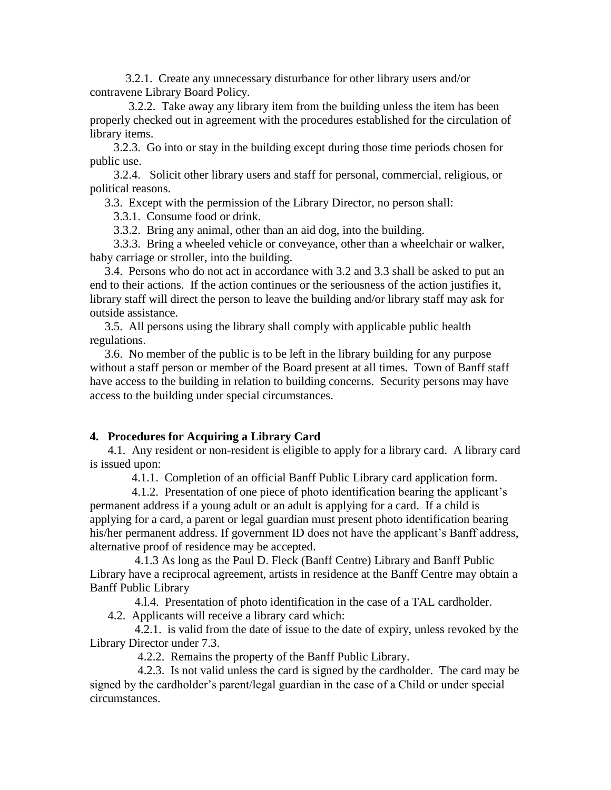3.2.1. Create any unnecessary disturbance for other library users and/or contravene Library Board Policy.

 3.2.2. Take away any library item from the building unless the item has been properly checked out in agreement with the procedures established for the circulation of library items.

 3.2.3. Go into or stay in the building except during those time periods chosen for public use.

 3.2.4. Solicit other library users and staff for personal, commercial, religious, or political reasons.

3.3. Except with the permission of the Library Director, no person shall:

3.3.1. Consume food or drink.

3.3.2. Bring any animal, other than an aid dog, into the building.

 3.3.3. Bring a wheeled vehicle or conveyance, other than a wheelchair or walker, baby carriage or stroller, into the building.

 3.4. Persons who do not act in accordance with 3.2 and 3.3 shall be asked to put an end to their actions. If the action continues or the seriousness of the action justifies it, library staff will direct the person to leave the building and/or library staff may ask for outside assistance.

 3.5. All persons using the library shall comply with applicable public health regulations.

 3.6. No member of the public is to be left in the library building for any purpose without a staff person or member of the Board present at all times. Town of Banff staff have access to the building in relation to building concerns. Security persons may have access to the building under special circumstances.

## **4. Procedures for Acquiring a Library Card**

 4.1. Any resident or non-resident is eligible to apply for a library card. A library card is issued upon:

4.1.1. Completion of an official Banff Public Library card application form.

 4.1.2. Presentation of one piece of photo identification bearing the applicant's permanent address if a young adult or an adult is applying for a card. If a child is applying for a card, a parent or legal guardian must present photo identification bearing his/her permanent address. If government ID does not have the applicant's Banff address, alternative proof of residence may be accepted.

 4.1.3 As long as the Paul D. Fleck (Banff Centre) Library and Banff Public Library have a reciprocal agreement, artists in residence at the Banff Centre may obtain a Banff Public Library

4.l.4. Presentation of photo identification in the case of a TAL cardholder.

4.2. Applicants will receive a library card which:

 4.2.1. is valid from the date of issue to the date of expiry, unless revoked by the Library Director under 7.3.

4.2.2. Remains the property of the Banff Public Library.

 4.2.3. Is not valid unless the card is signed by the cardholder. The card may be signed by the cardholder's parent/legal guardian in the case of a Child or under special circumstances.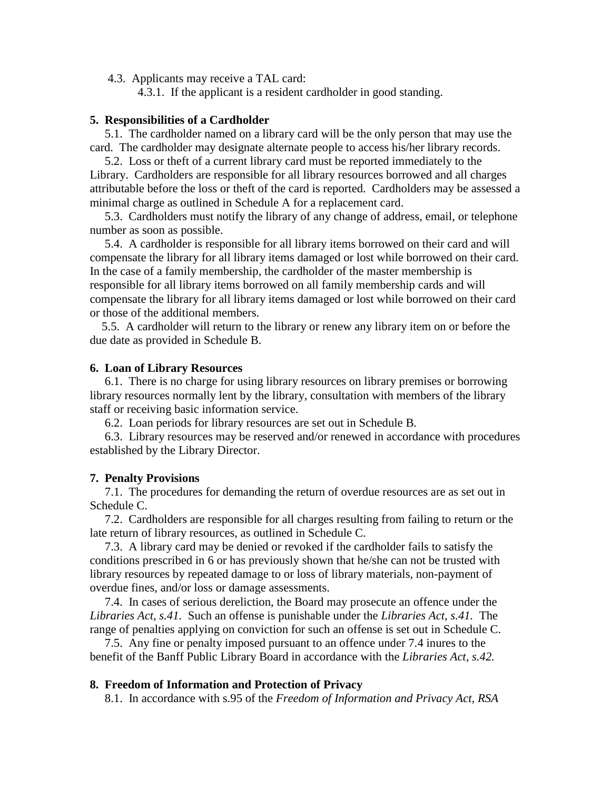4.3. Applicants may receive a TAL card:

4.3.1. If the applicant is a resident cardholder in good standing.

## **5. Responsibilities of a Cardholder**

 5.1. The cardholder named on a library card will be the only person that may use the card. The cardholder may designate alternate people to access his/her library records.

 5.2. Loss or theft of a current library card must be reported immediately to the Library. Cardholders are responsible for all library resources borrowed and all charges attributable before the loss or theft of the card is reported. Cardholders may be assessed a minimal charge as outlined in Schedule A for a replacement card.

 5.3. Cardholders must notify the library of any change of address, email, or telephone number as soon as possible.

 5.4. A cardholder is responsible for all library items borrowed on their card and will compensate the library for all library items damaged or lost while borrowed on their card. In the case of a family membership, the cardholder of the master membership is responsible for all library items borrowed on all family membership cards and will compensate the library for all library items damaged or lost while borrowed on their card or those of the additional members.

 5.5. A cardholder will return to the library or renew any library item on or before the due date as provided in Schedule B.

#### **6. Loan of Library Resources**

 6.1. There is no charge for using library resources on library premises or borrowing library resources normally lent by the library, consultation with members of the library staff or receiving basic information service.

6.2. Loan periods for library resources are set out in Schedule B.

 6.3. Library resources may be reserved and/or renewed in accordance with procedures established by the Library Director.

#### **7. Penalty Provisions**

 7.1. The procedures for demanding the return of overdue resources are as set out in Schedule C.

 7.2. Cardholders are responsible for all charges resulting from failing to return or the late return of library resources, as outlined in Schedule C.

 7.3. A library card may be denied or revoked if the cardholder fails to satisfy the conditions prescribed in 6 or has previously shown that he/she can not be trusted with library resources by repeated damage to or loss of library materials, non-payment of overdue fines, and/or loss or damage assessments.

 7.4. In cases of serious dereliction, the Board may prosecute an offence under the *Libraries Act, s.41.* Such an offense is punishable under the *Libraries Act, s.41.* The range of penalties applying on conviction for such an offense is set out in Schedule C.

 7.5. Any fine or penalty imposed pursuant to an offence under 7.4 inures to the benefit of the Banff Public Library Board in accordance with the *Libraries Act, s.42.*

#### **8. Freedom of Information and Protection of Privacy**

8.1. In accordance with s.95 of the *Freedom of Information and Privacy Act, RSA*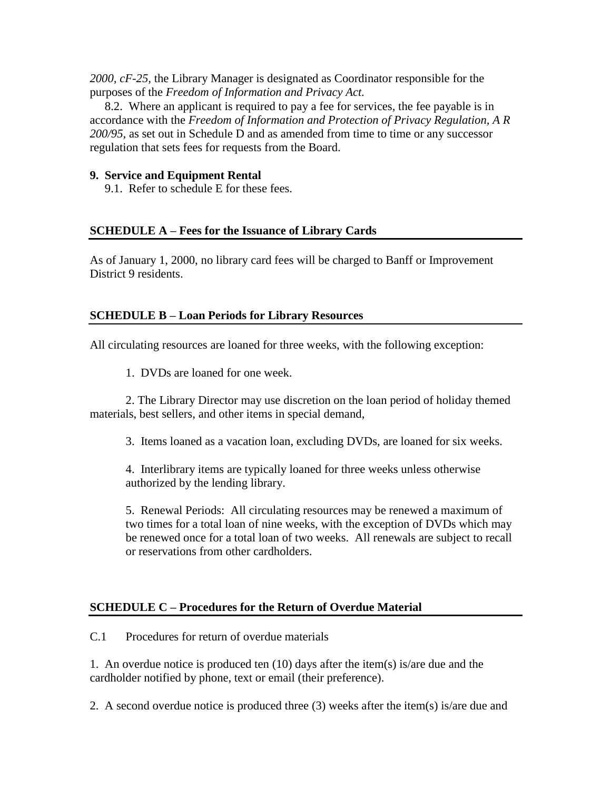*2000, cF-25,* the Library Manager is designated as Coordinator responsible for the purposes of the *Freedom of Information and Privacy Act.*

 8.2. Where an applicant is required to pay a fee for services, the fee payable is in accordance with the *Freedom of Information and Protection of Privacy Regulation, A R 200/95,* as set out in Schedule D and as amended from time to time or any successor regulation that sets fees for requests from the Board.

# **9. Service and Equipment Rental**

9.1. Refer to schedule E for these fees.

# **SCHEDULE A – Fees for the Issuance of Library Cards**

As of January 1, 2000, no library card fees will be charged to Banff or Improvement District 9 residents.

# **SCHEDULE B – Loan Periods for Library Resources**

All circulating resources are loaned for three weeks, with the following exception:

1. DVDs are loaned for one week.

2. The Library Director may use discretion on the loan period of holiday themed materials, best sellers, and other items in special demand,

3. Items loaned as a vacation loan, excluding DVDs, are loaned for six weeks.

4. Interlibrary items are typically loaned for three weeks unless otherwise authorized by the lending library.

5. Renewal Periods: All circulating resources may be renewed a maximum of two times for a total loan of nine weeks, with the exception of DVDs which may be renewed once for a total loan of two weeks. All renewals are subject to recall or reservations from other cardholders.

# **SCHEDULE C – Procedures for the Return of Overdue Material**

C.1 Procedures for return of overdue materials

1. An overdue notice is produced ten  $(10)$  days after the item(s) is/are due and the cardholder notified by phone, text or email (their preference).

2. A second overdue notice is produced three (3) weeks after the item(s) is/are due and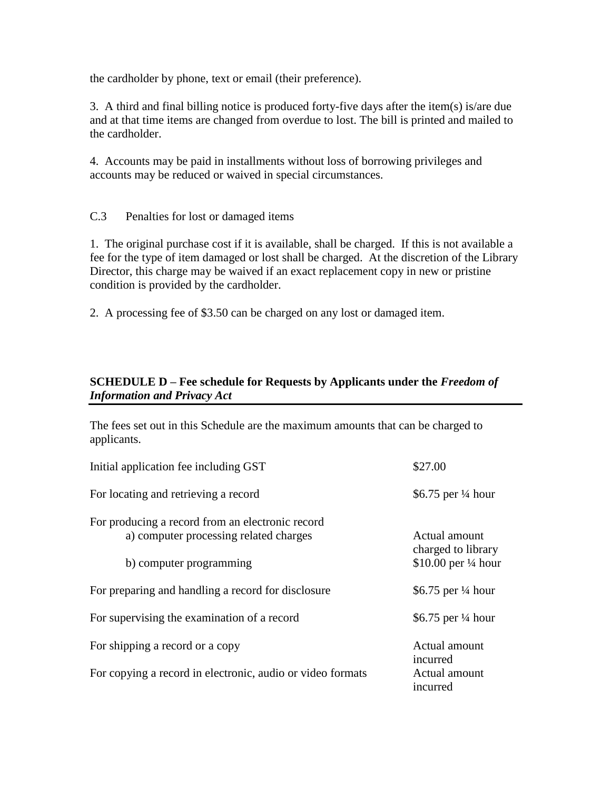the cardholder by phone, text or email (their preference).

3. A third and final billing notice is produced forty-five days after the item(s) is/are due and at that time items are changed from overdue to lost. The bill is printed and mailed to the cardholder.

4. Accounts may be paid in installments without loss of borrowing privileges and accounts may be reduced or waived in special circumstances.

C.3 Penalties for lost or damaged items

1. The original purchase cost if it is available, shall be charged. If this is not available a fee for the type of item damaged or lost shall be charged. At the discretion of the Library Director, this charge may be waived if an exact replacement copy in new or pristine condition is provided by the cardholder.

2. A processing fee of \$3.50 can be charged on any lost or damaged item.

# **SCHEDULE D – Fee schedule for Requests by Applicants under the** *Freedom of Information and Privacy Act*

The fees set out in this Schedule are the maximum amounts that can be charged to applicants.

| Initial application fee including GST                                                      | \$27.00                             |
|--------------------------------------------------------------------------------------------|-------------------------------------|
| For locating and retrieving a record                                                       | \$6.75 per $\frac{1}{4}$ hour       |
| For producing a record from an electronic record<br>a) computer processing related charges | Actual amount<br>charged to library |
| b) computer programming                                                                    | \$10.00 per $\frac{1}{4}$ hour      |
| For preparing and handling a record for disclosure                                         | \$6.75 per $\frac{1}{4}$ hour       |
| For supervising the examination of a record                                                | \$6.75 per $\frac{1}{4}$ hour       |
| For shipping a record or a copy                                                            | Actual amount<br>incurred           |
| For copying a record in electronic, audio or video formats                                 | Actual amount<br>incurred           |